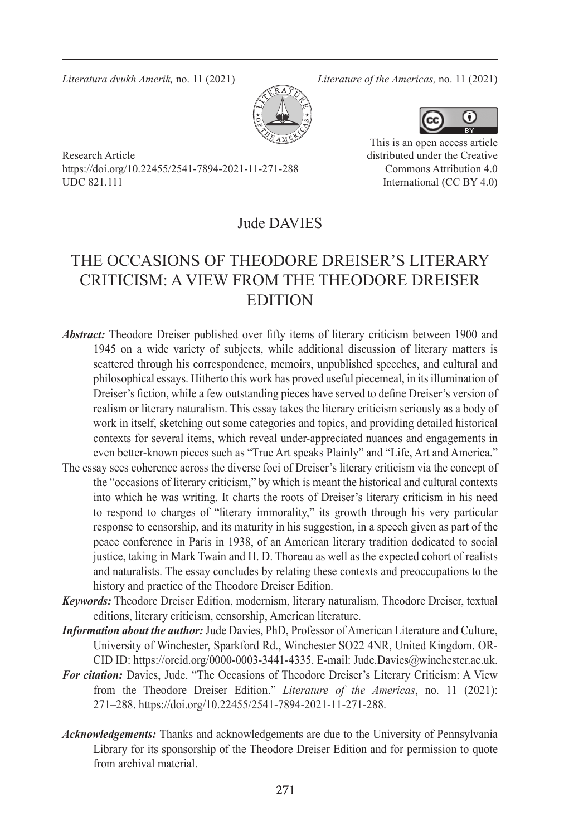*Literatura dvukh Amerik,* no. 11 (2021) *Literature of the Americas,* no. 11 (2021)



Research Article https://doi.org/10.22455/2541-7894-2021-11-271-288 UDC 821.111



This is an open access article distributed under the Creative Commons Attribution 4.0 International (CC BY 4.0)

## Jude DAVIES

## THE OCCASIONS OF THEODORE DREISER'S LITERARY CRITICISM: A VIEW FROM THE THEODORE DREISER EDITION

- *Abstract:* Theodore Dreiser published over fifty items of literary criticism between 1900 and 1945 on a wide variety of subjects, while additional discussion of literary matters is scattered through his correspondence, memoirs, unpublished speeches, and cultural and philosophical essays. Hitherto this work has proved useful piecemeal, in its illumination of Dreiser's fiction, while a few outstanding pieces have served to define Dreiser's version of realism or literary naturalism. This essay takes the literary criticism seriously as a body of work in itself, sketching out some categories and topics, and providing detailed historical contexts for several items, which reveal under-appreciated nuances and engagements in even better-known pieces such as "True Art speaks Plainly" and "Life, Art and America."
- The essay sees coherence across the diverse foci of Dreiser's literary criticism via the concept of the "occasions of literary criticism," by which is meant the historical and cultural contexts into which he was writing. It charts the roots of Dreiser's literary criticism in his need to respond to charges of "literary immorality," its growth through his very particular response to censorship, and its maturity in his suggestion, in a speech given as part of the peace conference in Paris in 1938, of an American literary tradition dedicated to social justice, taking in Mark Twain and H. D. Thoreau as well as the expected cohort of realists and naturalists. The essay concludes by relating these contexts and preoccupations to the history and practice of the Theodore Dreiser Edition.
- *Keywords:* Theodore Dreiser Edition, modernism, literary naturalism, Theodore Dreiser, textual editions, literary criticism, censorship, American literature.
- *Information about the author:* Jude Davies, PhD, Professor of American Literature and Culture, University of Winchester, Sparkford Rd., Winchester SO22 4NR, United Kingdom. OR-CID ID: https://orcid.org/0000-0003-3441-4335. E-mail: Jude.Davies@winchester.ac.uk.
- *For citation:* Davies, Jude. "The Occasions of Theodore Dreiser's Literary Criticism: A View from the Theodore Dreiser Edition." *Literature of the Americas*, no. 11 (2021): 271–288. https://doi.org/10.22455/2541-7894-2021-11-271-288.
- *Acknowledgements:* Thanks and acknowledgements are due to the University of Pennsylvania Library for its sponsorship of the Theodore Dreiser Edition and for permission to quote from archival material.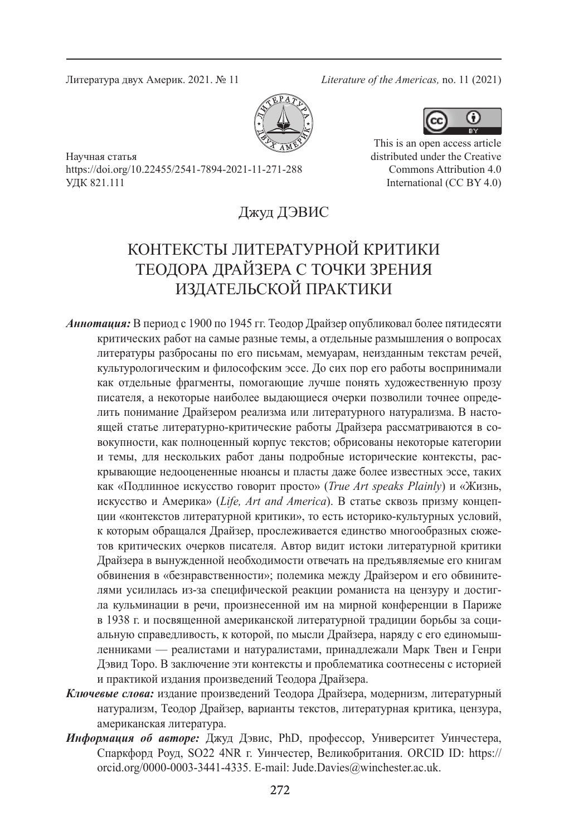Литература двух Америк. 2021. № 11 *Literature of the Americas,* no. 11 (2021)



Œ

This is an open access article distributed under the Creative Commons Attribution 4.0 International (CC BY 4.0)

Научная статья https://doi.org/10.22455/2541-7894-2021-11-271-288 УДК 821.111

Джуд ДЭВИС

# КОНТЕКСТЫ ЛИТЕРАТУРНОЙ КРИТИКИ ТЕОДОРА ДРАЙЗЕРА С ТОЧКИ ЗРЕНИЯ ИЗДАТЕЛЬСКОЙ ПРАКТИКИ

- *Аннотация:* В период с 1900 по 1945 гг. Теодор Драйзер опубликовал более пятидесяти критических работ на самые разные темы, а отдельные размышления о вопросах литературы разбросаны по его письмам, мемуарам, неизданным текстам речей, культурологическим и философским эссе. До сих пор его работы воспринимали как отдельные фрагменты, помогающие лучше понять художественную прозу писателя, а некоторые наиболее выдающиеся очерки позволили точнее определить понимание Драйзером реализма или литературного натурализма. В настоящей статье литературно-критические работы Драйзера рассматриваются в совокупности, как полноценный корпус текстов; обрисованы некоторые категории и темы, для нескольких работ даны подробные исторические контексты, раскрывающие недооцененные нюансы и пласты даже более известных эссе, таких как «Подлинное искусство говорит просто» (*True Art speaks Plainly*) и «Жизнь, искусство и Америка» (*Life, Art and America*). В статье сквозь призму концепции «контекстов литературной критики», то есть историко-культурных условий, к которым обращался Драйзер, прослеживается единство многообразных сюжетов критических очерков писателя. Автор видит истоки литературной критики Драйзера в вынужденной необходимости отвечать на предъявляемые его книгам обвинения в «безнравственности»; полемика между Драйзером и его обвинителями усилилась из-за специфической реакции романиста на цензуру и достигла кульминации в речи, произнесенной им на мирной конференции в Париже в 1938 г. и посвященной американской литературной традиции борьбы за социальную справедливость, к которой, по мысли Драйзера, наряду с его единомышленниками — реалистами и натуралистами, принадлежали Марк Твен и Генри Дэвид Торо. В заключение эти контексты и проблематика соотнесены с историей и практикой издания произведений Теодора Драйзера.
- *Ключевые слова:* издание произведений Теодора Драйзера, модернизм, литературный натурализм, Теодор Драйзер, варианты текстов, литературная критика, цензура, американская литература.
- *Информация об авторе:* Джуд Дэвис, PhD, профессор, Университет Уинчестера, Спаркфорд Роуд, SO22 4NR г. Уинчестер, Великобритания. ORCID ID: https:// orcid.org/0000-0003-3441-4335. E-mail: Jude.Davies@winchester.ac.uk.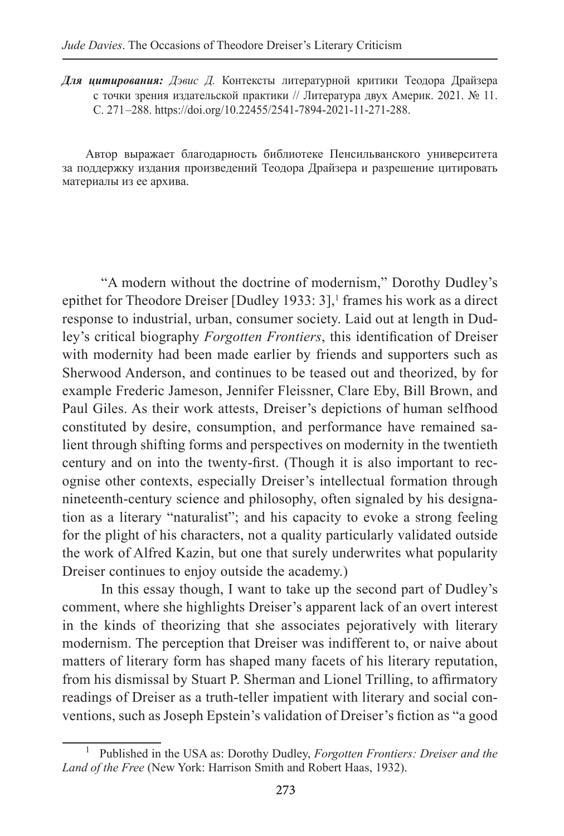*Для цитирования: Дэвис Д.* Контексты литературной критики Теодора Драйзера с точки зрения издательской практики // Литература двух Америк. 2021. № 11. С. 271 –288. https://doi.org/10.22455/2541-7894-2021-11-271-288.

Автор выражает благодарность библиотеке Пенсильванского университета за поддержку издания произведений Теодора Драйзера и разрешение цитировать материалы из ее архива.

"A modern without the doctrine of modernism," Dorothy Dudley's epithet for Theodore Dreiser [Dudley 1933:  $3$ ],<sup>1</sup> frames his work as a direct response to industrial, urban, consumer society. Laid out at length in Dudley's critical biography *Forgotten Frontiers*, this identification of Dreiser with modernity had been made earlier by friends and supporters such as Sherwood Anderson, and continues to be teased out and theorized, by for example Frederic Jameson, Jennifer Fleissner, Clare Eby, Bill Brown, and Paul Giles. As their work attests, Dreiser's depictions of human selfhood constituted by desire, consumption, and performance have remained salient through shifting forms and perspectives on modernity in the twentieth century and on into the twenty-first. (Though it is also important to recognise other contexts, especially Dreiser's intellectual formation through nineteenth-century science and philosophy, often signaled by his designation as a literary "naturalist"; and his capacity to evoke a strong feeling for the plight of his characters, not a quality particularly validated outside the work of Alfred Kazin, but one that surely underwrites what popularity Dreiser continues to enjoy outside the academy.)

In this essay though, I want to take up the second part of Dudley's comment, where she highlights Dreiser's apparent lack of an overt interest in the kinds of theorizing that she associates pejoratively with literary modernism. The perception that Dreiser was indifferent to, or naive about matters of literary form has shaped many facets of his literary reputation, from his dismissal by Stuart P. Sherman and Lionel Trilling, to affirmatory readings of Dreiser as a truth-teller impatient with literary and social conventions, such as Joseph Epstein's validation of Dreiser's fiction as "a good

<sup>1</sup> Published in the USA as: Dorothy Dudley, *Forgotten Frontiers: Dreiser and the Land of the Free* (New York: Harrison Smith and Robert Haas, 1932).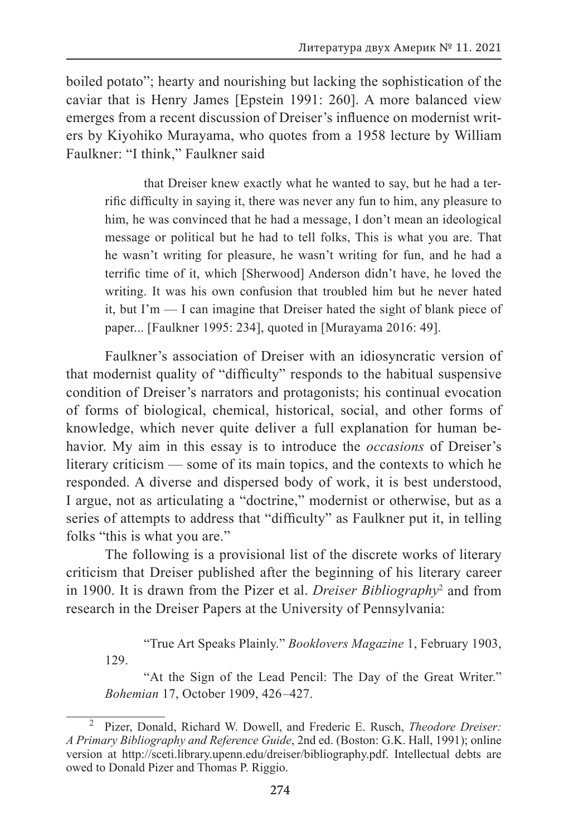boiled potato"; hearty and nourishing but lacking the sophistication of the caviar that is Henry James [Epstein 1991: 260]. A more balanced view emerges from a recent discussion of Dreiser's influence on modernist writers by Kiyohiko Murayama, who quotes from a 1958 lecture by William Faulkner: "I think," Faulkner said

that Dreiser knew exactly what he wanted to say, but he had a terrific difficulty in saying it, there was never any fun to him, any pleasure to him, he was convinced that he had a message, I don't mean an ideological message or political but he had to tell folks, This is what you are. That he wasn't writing for pleasure, he wasn't writing for fun, and he had a terrific time of it, which [Sherwood] Anderson didn't have, he loved the writing. It was his own confusion that troubled him but he never hated it, but I'm — I can imagine that Dreiser hated the sight of blank piece of paper... [Faulkner 1995: 234], quoted in [Murayama 2016: 49].

Faulkner's association of Dreiser with an idiosyncratic version of that modernist quality of "difficulty" responds to the habitual suspensive condition of Dreiser's narrators and protagonists; his continual evocation of forms of biological, chemical, historical, social, and other forms of knowledge, which never quite deliver a full explanation for human behavior. My aim in this essay is to introduce the *occasions* of Dreiser's literary criticism — some of its main topics, and the contexts to which he responded. A diverse and dispersed body of work, it is best understood, I argue, not as articulating a "doctrine," modernist or otherwise, but as a series of attempts to address that "difficulty" as Faulkner put it, in telling folks "this is what you are."

The following is a provisional list of the discrete works of literary criticism that Dreiser published after the beginning of his literary career in 1900. It is drawn from the Pizer et al. *Dreiser Bibliography*<sup>2</sup> and from research in the Dreiser Papers at the University of Pennsylvania:

"True Art Speaks Plainly." *Booklovers Magazine* 1, February 1903,

129.

"At the Sign of the Lead Pencil: The Day of the Great Writer." *Bohemian* 17, October 1909, 426 –427.

<sup>2</sup> Pizer, Donald, Richard W. Dowell, and Frederic E. Rusch, *Theodore Dreiser: A Primary Bibliography and Reference Guide*, 2nd ed. (Boston: G.K. Hall, 1991); online version at http://sceti.library.upenn.edu/dreiser/bibliography.pdf. Intellectual debts are owed to Donald Pizer and Thomas P. Riggio.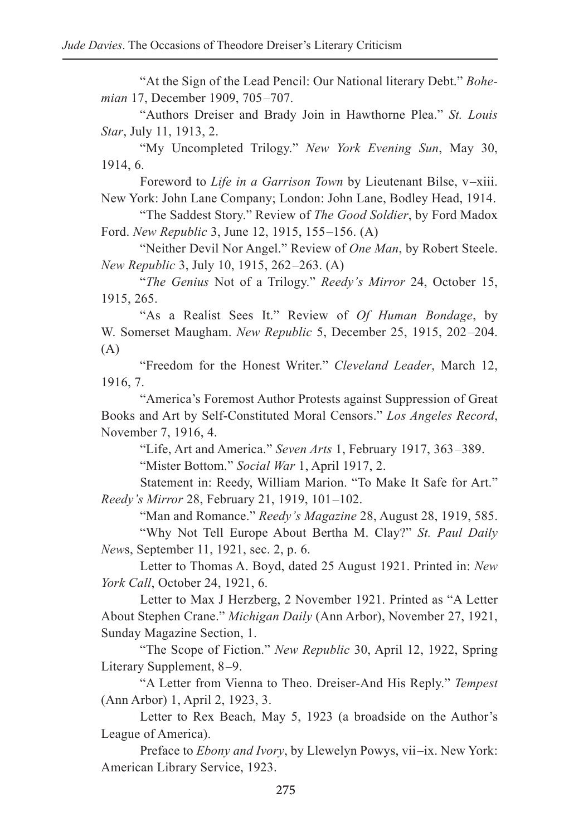"At the Sign of the Lead Pencil: Our National literary Debt." *Bohemian* 17, December 1909, 705–707.

"Authors Dreiser and Brady Join in Hawthorne Plea." *St. Louis Star*, July 11, 1913, 2.

"My Uncompleted Trilogy." *New York Evening Sun*, May 30, 1914, 6.

Foreword to *Life in a Garrison Town* by Lieutenant Bilse, v –xiii. New York: John Lane Company; London: John Lane, Bodley Head, 1914.

"The Saddest Story." Review of *The Good Soldier*, by Ford Madox Ford. *New Republic* 3, June 12, 1915, 155 –156. (A)

"Neither Devil Nor Angel." Review of *One Man*, by Robert Steele. *New Republic* 3, July 10, 1915, 262 –263. (A)

"*The Genius* Not of a Trilogy." *Reedy's Mirror* 24, October 15, 1915, 265.

"As a Realist Sees It." Review of *Of Human Bondage*, by W. Somerset Maugham. *New Republic* 5, December 25, 1915, 202 –204. (A)

"Freedom for the Honest Writer." *Cleveland Leader*, March 12, 1916, 7.

"America's Foremost Author Protests against Suppression of Great Books and Art by Self-Constituted Moral Censors." *Los Angeles Record*, November 7, 1916, 4.

"Life, Art and America." *Seven Arts* 1, February 1917, 363 –389.

"Mister Bottom." *Social War* 1, April 1917, 2.

Statement in: Reedy, William Marion. "To Make It Safe for Art." *Reedy's Mirror* 28, February 21, 1919, 101 –102.

"Man and Romance." *Reedy's Magazine* 28, August 28, 1919, 585.

"Why Not Tell Europe About Bertha M. Clay?" *St. Paul Daily New*s, September 11, 1921, sec. 2, p. 6.

Letter to Thomas A. Boyd, dated 25 August 1921. Printed in: *New York Call*, October 24, 1921, 6.

Letter to Max J Herzberg, 2 November 1921. Printed as "A Letter About Stephen Crane." *Michigan Daily* (Ann Arbor), November 27, 1921, Sunday Magazine Section, 1.

"The Scope of Fiction." *New Republic* 30, April 12, 1922, Spring Literary Supplement, 8–9.

"A Letter from Vienna to Theo. Dreiser-And His Reply." *Tempest* (Ann Arbor) 1, April 2, 1923, 3.

Letter to Rex Beach, May 5, 1923 (a broadside on the Author's League of America).

Preface to *Ebony and Ivory*, by Llewelyn Powys, vii –ix. New York: American Library Service, 1923.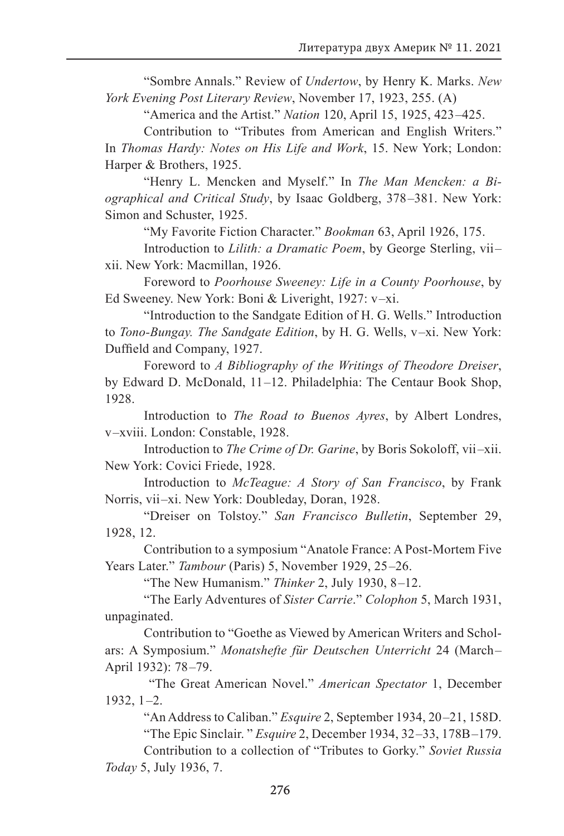"Sombre Annals." Review of *Undertow*, by Henry K. Marks. *New York Evening Post Literary Review*, November 17, 1923, 255. (A)

"America and the Artist." *Nation* 120, April 15, 1925, 423 –425.

Contribution to "Tributes from American and English Writers." In *Thomas Hardy: Notes on His Life and Work*, 15. New York; London: Harper & Brothers, 1925.

"Henry L. Mencken and Myself." In *The Man Mencken: a Biographical and Critical Study*, by Isaac Goldberg, 378 –381. New York: Simon and Schuster, 1925.

"My Favorite Fiction Character." *Bookman* 63, April 1926, 175.

Introduction to *Lilith: a Dramatic Poem*, by George Sterling, vii– xii. New York: Macmillan, 1926.

Foreword to *Poorhouse Sweeney: Life in a County Poorhouse*, by Ed Sweeney. New York: Boni & Liveright, 1927: v-xi.

"Introduction to the Sandgate Edition of H. G. Wells." Introduction to *Tono-Bungay. The Sandgate Edition*, by H. G. Wells, v –xi. New York: Duffield and Company, 1927.

Foreword to *A Bibliography of the Writings of Theodore Dreiser*, by Edward D. McDonald, 11 –12. Philadelphia: The Centaur Book Shop, 1928.

Introduction to *The Road to Buenos Ayres*, by Albert Londres, v –xviii. London: Constable, 1928.

Introduction to *The Crime of Dr. Garine*, by Boris Sokoloff, vii –xii. New York: Covici Friede, 1928.

Introduction to *McTeague: A Story of San Francisco*, by Frank Norris, vii-xi. New York: Doubleday, Doran, 1928.

"Dreiser on Tolstoy." *San Francisco Bulletin*, September 29, 1928, 12.

Contribution to a symposium "Anatole France: A Post-Mortem Five Years Later." *Tambour* (Paris) 5, November 1929, 25–26.

"The New Humanism." *Thinker* 2, July 1930, 8 –12.

"The Early Adventures of *Sister Carrie*." *Colophon* 5, March 1931, unpaginated.

Contribution to "Goethe as Viewed by American Writers and Scholars: A Symposium." *Monatshefte für Deutschen Unterricht* 24 (March – April 1932): 78–79.

 "The Great American Novel." *American Spectator* 1, December  $1932, 1-2.$ 

"An Address to Caliban." *Esquire* 2, September 1934, 20 –21, 158D. "The Epic Sinclair. " *Esquire* 2, December 1934, 32 –33, 178B –179.

Contribution to a collection of "Tributes to Gorky." *Soviet Russia Today* 5, July 1936, 7.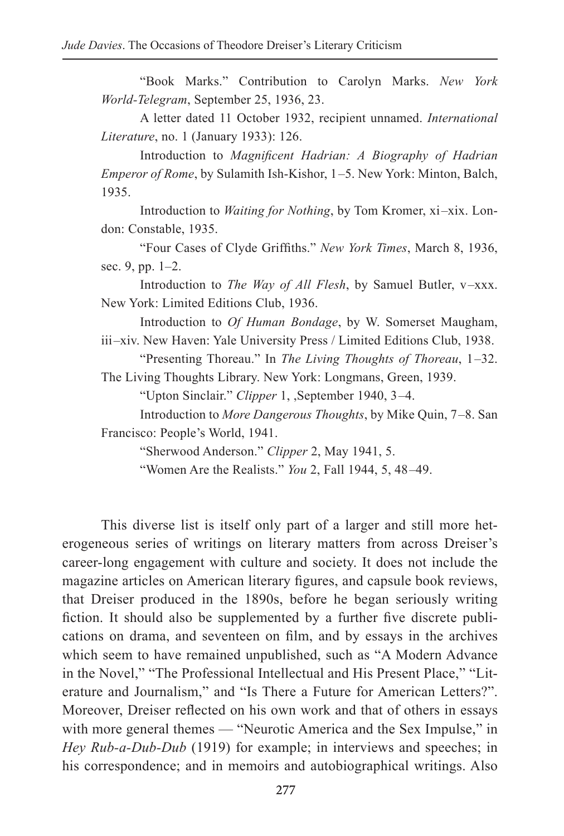"Book Marks." Contribution to Carolyn Marks. *New York World-Telegram*, September 25, 1936, 23.

A letter dated 11 October 1932, recipient unnamed. *International Literature*, no. 1 (January 1933): 126.

Introduction to *Magnificent Hadrian: A Biography of Hadrian Emperor of Rome*, by Sulamith Ish-Kishor, 1–5. New York: Minton, Balch, 1935.

Introduction to *Waiting for Nothing*, by Tom Kromer, xi-xix. London: Constable, 1935.

"Four Cases of Clyde Griffiths." *New York Times*, March 8, 1936, sec. 9, pp. 1–2.

Introduction to *The Way of All Flesh*, by Samuel Butler, v –xxx. New York: Limited Editions Club, 1936.

Introduction to *Of Human Bondage*, by W. Somerset Maugham, iii –xiv. New Haven: Yale University Press / Limited Editions Club, 1938.

"Presenting Thoreau." In *The Living Thoughts of Thoreau*, 1 –32. The Living Thoughts Library. New York: Longmans, Green, 1939.

"Upton Sinclair." *Clipper* 1, ,September 1940, 3 –4.

Introduction to *More Dangerous Thoughts*, by Mike Quin, 7 –8. San Francisco: People's World, 1941.

"Sherwood Anderson." *Clipper* 2, May 1941, 5.

"Women Are the Realists." *You* 2, Fall 1944, 5, 48 –49.

This diverse list is itself only part of a larger and still more heterogeneous series of writings on literary matters from across Dreiser's career-long engagement with culture and society. It does not include the magazine articles on American literary figures, and capsule book reviews, that Dreiser produced in the 1890s, before he began seriously writing fiction. It should also be supplemented by a further five discrete publications on drama, and seventeen on film, and by essays in the archives which seem to have remained unpublished, such as "A Modern Advance in the Novel," "The Professional Intellectual and His Present Place," "Literature and Journalism," and "Is There a Future for American Letters?". Moreover, Dreiser reflected on his own work and that of others in essays with more general themes — "Neurotic America and the Sex Impulse," in *Hey Rub-a-Dub-Dub* (1919) for example; in interviews and speeches; in his correspondence; and in memoirs and autobiographical writings. Also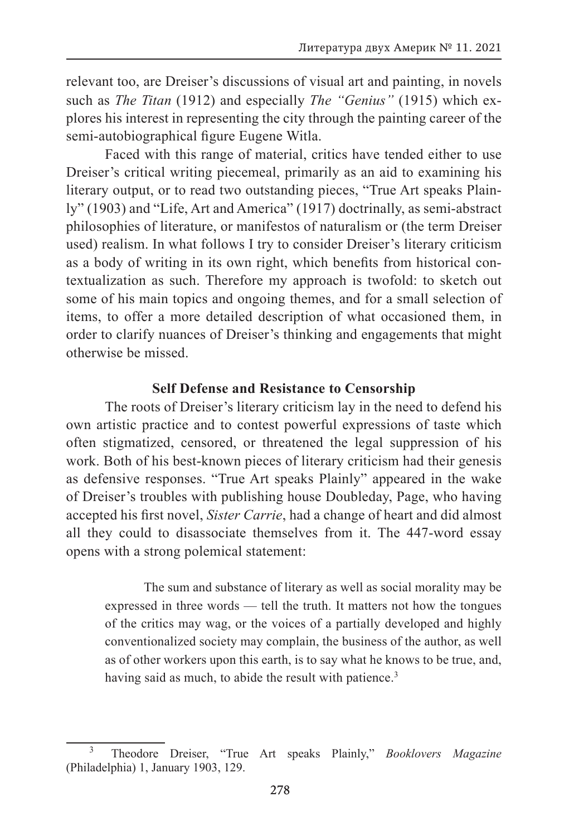relevant too, are Dreiser's discussions of visual art and painting, in novels such as *The Titan* (1912) and especially *The "Genius"* (1915) which explores his interest in representing the city through the painting career of the semi-autobiographical figure Eugene Witla.

Faced with this range of material, critics have tended either to use Dreiser's critical writing piecemeal, primarily as an aid to examining his literary output, or to read two outstanding pieces, "True Art speaks Plainly" (1903) and "Life, Art and America" (1917) doctrinally, as semi-abstract philosophies of literature, or manifestos of naturalism or (the term Dreiser used) realism. In what follows I try to consider Dreiser's literary criticism as a body of writing in its own right, which benefits from historical contextualization as such. Therefore my approach is twofold: to sketch out some of his main topics and ongoing themes, and for a small selection of items, to offer a more detailed description of what occasioned them, in order to clarify nuances of Dreiser's thinking and engagements that might otherwise be missed.

#### **Self Defense and Resistance to Censorship**

The roots of Dreiser's literary criticism lay in the need to defend his own artistic practice and to contest powerful expressions of taste which often stigmatized, censored, or threatened the legal suppression of his work. Both of his best-known pieces of literary criticism had their genesis as defensive responses. "True Art speaks Plainly" appeared in the wake of Dreiser's troubles with publishing house Doubleday, Page, who having accepted his first novel, *Sister Carrie*, had a change of heart and did almost all they could to disassociate themselves from it. The 447-word essay opens with a strong polemical statement:

The sum and substance of literary as well as social morality may be expressed in three words — tell the truth. It matters not how the tongues of the critics may wag, or the voices of a partially developed and highly conventionalized society may complain, the business of the author, as well as of other workers upon this earth, is to say what he knows to be true, and, having said as much, to abide the result with patience.<sup>3</sup>

<sup>3</sup> Theodore Dreiser, "True Art speaks Plainly," *Booklovers Magazine* (Philadelphia) 1, January 1903, 129.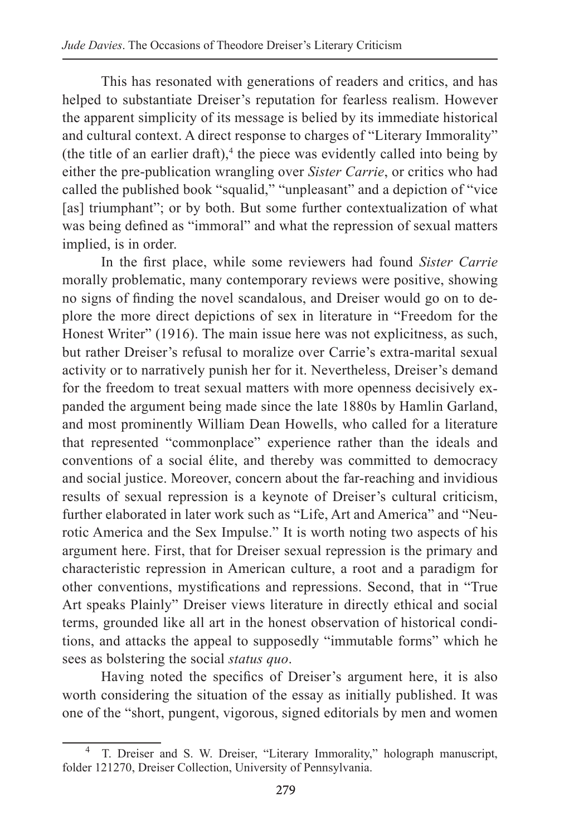This has resonated with generations of readers and critics, and has helped to substantiate Dreiser's reputation for fearless realism. However the apparent simplicity of its message is belied by its immediate historical and cultural context. A direct response to charges of "Literary Immorality" (the title of an earlier draft), $4$  the piece was evidently called into being by either the pre-publication wrangling over *Sister Carrie*, or critics who had called the published book "squalid," "unpleasant" and a depiction of "vice [as] triumphant"; or by both. But some further contextualization of what was being defined as "immoral" and what the repression of sexual matters implied, is in order.

In the first place, while some reviewers had found *Sister Carrie*  morally problematic, many contemporary reviews were positive, showing no signs of finding the novel scandalous, and Dreiser would go on to deplore the more direct depictions of sex in literature in "Freedom for the Honest Writer" (1916). The main issue here was not explicitness, as such, but rather Dreiser's refusal to moralize over Carrie's extra-marital sexual activity or to narratively punish her for it. Nevertheless, Dreiser's demand for the freedom to treat sexual matters with more openness decisively expanded the argument being made since the late 1880s by Hamlin Garland, and most prominently William Dean Howells, who called for a literature that represented "commonplace" experience rather than the ideals and conventions of a social élite, and thereby was committed to democracy and social justice. Moreover, concern about the far-reaching and invidious results of sexual repression is a keynote of Dreiser's cultural criticism, further elaborated in later work such as "Life, Art and America" and "Neurotic America and the Sex Impulse." It is worth noting two aspects of his argument here. First, that for Dreiser sexual repression is the primary and characteristic repression in American culture, a root and a paradigm for other conventions, mystifications and repressions. Second, that in "True Art speaks Plainly" Dreiser views literature in directly ethical and social terms, grounded like all art in the honest observation of historical conditions, and attacks the appeal to supposedly "immutable forms" which he sees as bolstering the social *status quo*.

Having noted the specifics of Dreiser's argument here, it is also worth considering the situation of the essay as initially published. It was one of the "short, pungent, vigorous, signed editorials by men and women

<sup>&</sup>lt;sup>4</sup> T. Dreiser and S. W. Dreiser, "Literary Immorality," holograph manuscript, folder 121270, Dreiser Collection, University of Pennsylvania.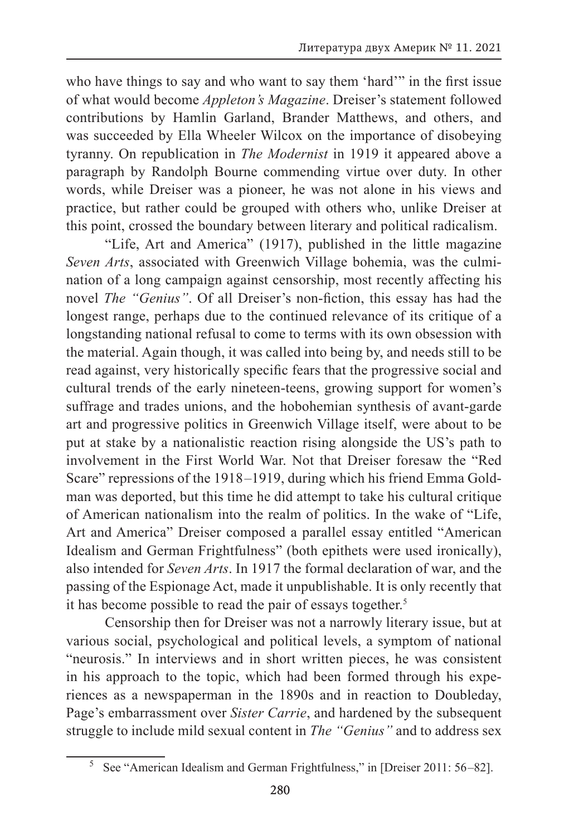who have things to say and who want to say them 'hard'" in the first issue of what would become *Appleton's Magazine*. Dreiser's statement followed contributions by Hamlin Garland, Brander Matthews, and others, and was succeeded by Ella Wheeler Wilcox on the importance of disobeying tyranny. On republication in *The Modernist* in 1919 it appeared above a paragraph by Randolph Bourne commending virtue over duty. In other words, while Dreiser was a pioneer, he was not alone in his views and practice, but rather could be grouped with others who, unlike Dreiser at this point, crossed the boundary between literary and political radicalism.

"Life, Art and America" (1917), published in the little magazine *Seven Arts*, associated with Greenwich Village bohemia, was the culmination of a long campaign against censorship, most recently affecting his novel *The "Genius"*. Of all Dreiser's non-fiction, this essay has had the longest range, perhaps due to the continued relevance of its critique of a longstanding national refusal to come to terms with its own obsession with the material. Again though, it was called into being by, and needs still to be read against, very historically specific fears that the progressive social and cultural trends of the early nineteen-teens, growing support for women's suffrage and trades unions, and the hobohemian synthesis of avant-garde art and progressive politics in Greenwich Village itself, were about to be put at stake by a nationalistic reaction rising alongside the US's path to involvement in the First World War. Not that Dreiser foresaw the "Red Scare" repressions of the 1918–1919, during which his friend Emma Goldman was deported, but this time he did attempt to take his cultural critique of American nationalism into the realm of politics. In the wake of "Life, Art and America" Dreiser composed a parallel essay entitled "American Idealism and German Frightfulness" (both epithets were used ironically), also intended for *Seven Arts*. In 1917 the formal declaration of war, and the passing of the Espionage Act, made it unpublishable. It is only recently that it has become possible to read the pair of essays together.<sup>5</sup>

Censorship then for Dreiser was not a narrowly literary issue, but at various social, psychological and political levels, a symptom of national "neurosis." In interviews and in short written pieces, he was consistent in his approach to the topic, which had been formed through his experiences as a newspaperman in the 1890s and in reaction to Doubleday, Page's embarrassment over *Sister Carrie*, and hardened by the subsequent struggle to include mild sexual content in *The "Genius"* and to address sex

<sup>&</sup>lt;sup>5</sup> See "American Idealism and German Frightfulness," in [Dreiser 2011: 56–82].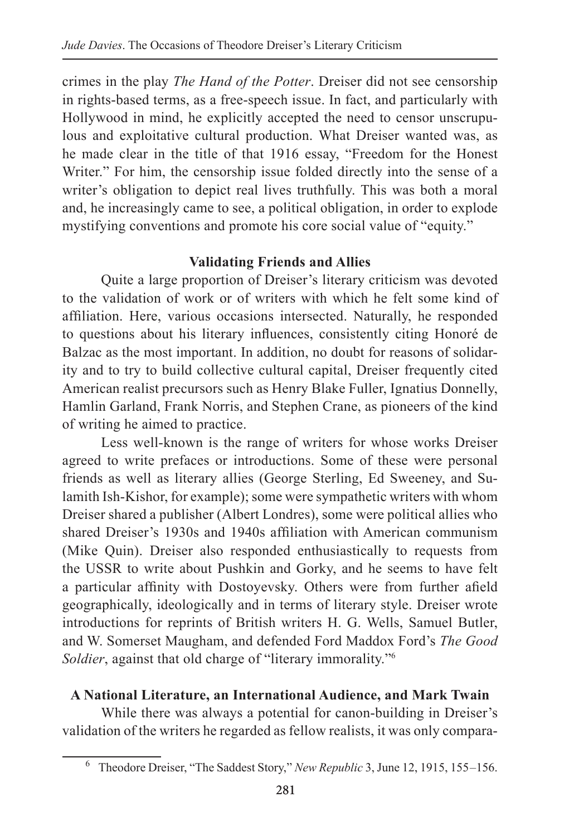crimes in the play *The Hand of the Potter*. Dreiser did not see censorship in rights-based terms, as a free-speech issue. In fact, and particularly with Hollywood in mind, he explicitly accepted the need to censor unscrupulous and exploitative cultural production. What Dreiser wanted was, as he made clear in the title of that 1916 essay, "Freedom for the Honest Writer." For him, the censorship issue folded directly into the sense of a writer's obligation to depict real lives truthfully. This was both a moral and, he increasingly came to see, a political obligation, in order to explode mystifying conventions and promote his core social value of "equity."

### **Validating Friends and Allies**

Quite a large proportion of Dreiser's literary criticism was devoted to the validation of work or of writers with which he felt some kind of affiliation. Here, various occasions intersected. Naturally, he responded to questions about his literary influences, consistently citing Honoré de Balzac as the most important. In addition, no doubt for reasons of solidarity and to try to build collective cultural capital, Dreiser frequently cited American realist precursors such as Henry Blake Fuller, Ignatius Donnelly, Hamlin Garland, Frank Norris, and Stephen Crane, as pioneers of the kind of writing he aimed to practice.

Less well-known is the range of writers for whose works Dreiser agreed to write prefaces or introductions. Some of these were personal friends as well as literary allies (George Sterling, Ed Sweeney, and Sulamith Ish-Kishor, for example); some were sympathetic writers with whom Dreiser shared a publisher (Albert Londres), some were political allies who shared Dreiser's 1930s and 1940s affiliation with American communism (Mike Quin). Dreiser also responded enthusiastically to requests from the USSR to write about Pushkin and Gorky, and he seems to have felt a particular affinity with Dostoyevsky. Others were from further afield geographically, ideologically and in terms of literary style. Dreiser wrote introductions for reprints of British writers H. G. Wells, Samuel Butler, and W. Somerset Maugham, and defended Ford Maddox Ford's *The Good Soldier*, against that old charge of "literary immorality."6

### **A National Literature, an International Audience, and Mark Twain**

While there was always a potential for canon-building in Dreiser's validation of the writers he regarded as fellow realists, it was only compara-

<sup>6</sup> Theodore Dreiser, "The Saddest Story," *New Republic* 3, June 12, 1915, 155 –156.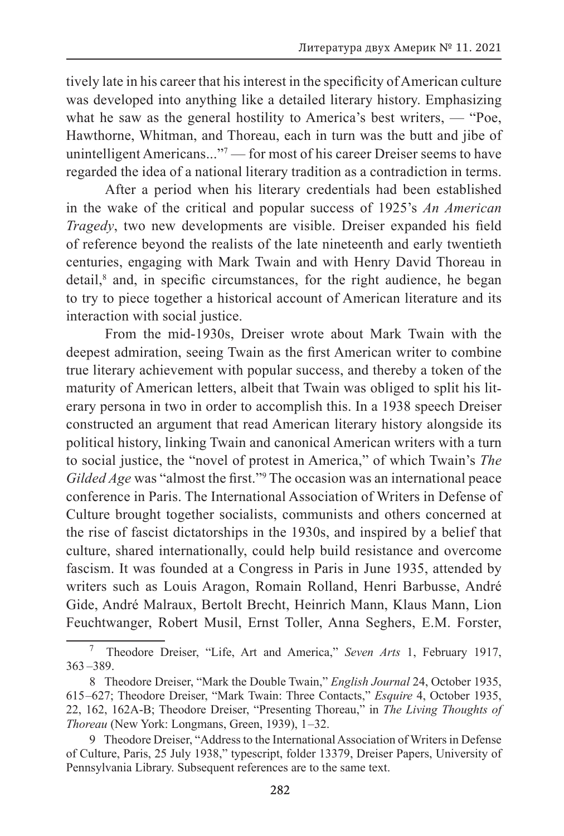tively late in his career that his interest in the specificity of American culture was developed into anything like a detailed literary history. Emphasizing what he saw as the general hostility to America's best writers, — "Poe, Hawthorne, Whitman, and Thoreau, each in turn was the butt and jibe of unintelligent Americans..."<sup>7</sup> — for most of his career Dreiser seems to have regarded the idea of a national literary tradition as a contradiction in terms.

After a period when his literary credentials had been established in the wake of the critical and popular success of 1925's *An American Tragedy*, two new developments are visible. Dreiser expanded his field of reference beyond the realists of the late nineteenth and early twentieth centuries, engaging with Mark Twain and with Henry David Thoreau in detail,<sup>8</sup> and, in specific circumstances, for the right audience, he began to try to piece together a historical account of American literature and its interaction with social justice.

From the mid-1930s, Dreiser wrote about Mark Twain with the deepest admiration, seeing Twain as the first American writer to combine true literary achievement with popular success, and thereby a token of the maturity of American letters, albeit that Twain was obliged to split his literary persona in two in order to accomplish this. In a 1938 speech Dreiser constructed an argument that read American literary history alongside its political history, linking Twain and canonical American writers with a turn to social justice, the "novel of protest in America," of which Twain's *The*  Gilded Age was "almost the first."<sup>9</sup> The occasion was an international peace conference in Paris. The International Association of Writers in Defense of Culture brought together socialists, communists and others concerned at the rise of fascist dictatorships in the 1930s, and inspired by a belief that culture, shared internationally, could help build resistance and overcome fascism. It was founded at a Congress in Paris in June 1935, attended by writers such as Louis Aragon, Romain Rolland, Henri Barbusse, André Gide, André Malraux, Bertolt Brecht, Heinrich Mann, Klaus Mann, Lion Feuchtwanger, Robert Musil, Ernst Toller, Anna Seghers, E.M. Forster,

<sup>7</sup> Theodore Dreiser, "Life, Art and America," *Seven Arts* 1, February 1917,  $363 - 389.$ 

<sup>8</sup> Theodore Dreiser, "Mark the Double Twain," *English Journal* 24, October 1935, 615 –627; Theodore Dreiser, "Mark Twain: Three Contacts," *Esquire* 4, October 1935, 22, 162, 162A-B; Theodore Dreiser, "Presenting Thoreau," in *The Living Thoughts of Thoreau* (New York: Longmans, Green, 1939), 1 –32.

<sup>9</sup> Theodore Dreiser, "Address to the International Association of Writers in Defense of Culture, Paris, 25 July 1938," typescript, folder 13379, Dreiser Papers, University of Pennsylvania Library. Subsequent references are to the same text.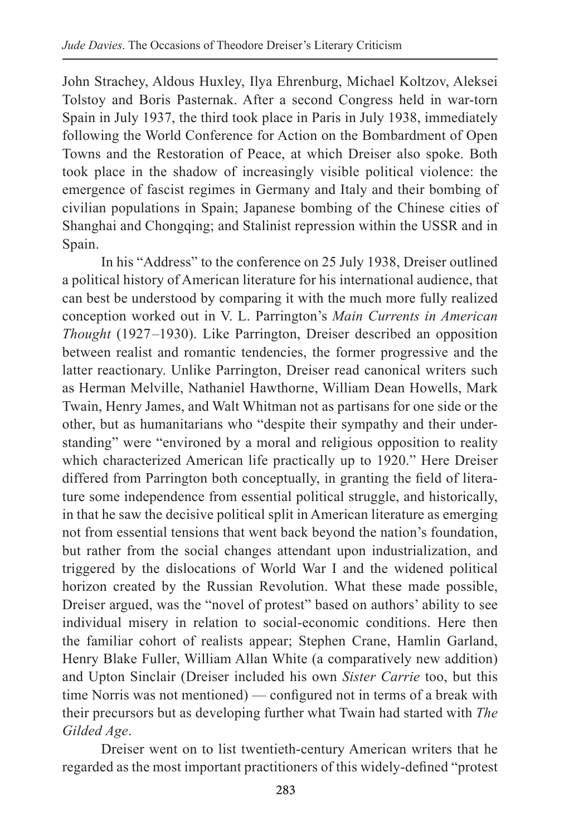John Strachey, Aldous Huxley, Ilya Ehrenburg, Michael Koltzov, Aleksei Tolstoy and Boris Pasternak. After a second Congress held in war-torn Spain in July 1937, the third took place in Paris in July 1938, immediately following the World Conference for Action on the Bombardment of Open Towns and the Restoration of Peace, at which Dreiser also spoke. Both took place in the shadow of increasingly visible political violence: the emergence of fascist regimes in Germany and Italy and their bombing of civilian populations in Spain; Japanese bombing of the Chinese cities of Shanghai and Chongqing; and Stalinist repression within the USSR and in Spain.

In his "Address" to the conference on 25 July 1938, Dreiser outlined a political history of American literature for his international audience, that can best be understood by comparing it with the much more fully realized conception worked out in V. L. Parrington's *Main Currents in American Thought* (1927–1930). Like Parrington, Dreiser described an opposition between realist and romantic tendencies, the former progressive and the latter reactionary. Unlike Parrington, Dreiser read canonical writers such as Herman Melville, Nathaniel Hawthorne, William Dean Howells, Mark Twain, Henry James, and Walt Whitman not as partisans for one side or the other, but as humanitarians who "despite their sympathy and their understanding" were "environed by a moral and religious opposition to reality which characterized American life practically up to 1920." Here Dreiser differed from Parrington both conceptually, in granting the field of literature some independence from essential political struggle, and historically, in that he saw the decisive political split in American literature as emerging not from essential tensions that went back beyond the nation's foundation, but rather from the social changes attendant upon industrialization, and triggered by the dislocations of World War I and the widened political horizon created by the Russian Revolution. What these made possible, Dreiser argued, was the "novel of protest" based on authors' ability to see individual misery in relation to social-economic conditions. Here then the familiar cohort of realists appear; Stephen Crane, Hamlin Garland, Henry Blake Fuller, William Allan White (a comparatively new addition) and Upton Sinclair (Dreiser included his own *Sister Carrie* too, but this time Norris was not mentioned) — configured not in terms of a break with their precursors but as developing further what Twain had started with *The Gilded Age*.

Dreiser went on to list twentieth-century American writers that he regarded as the most important practitioners of this widely-defined "protest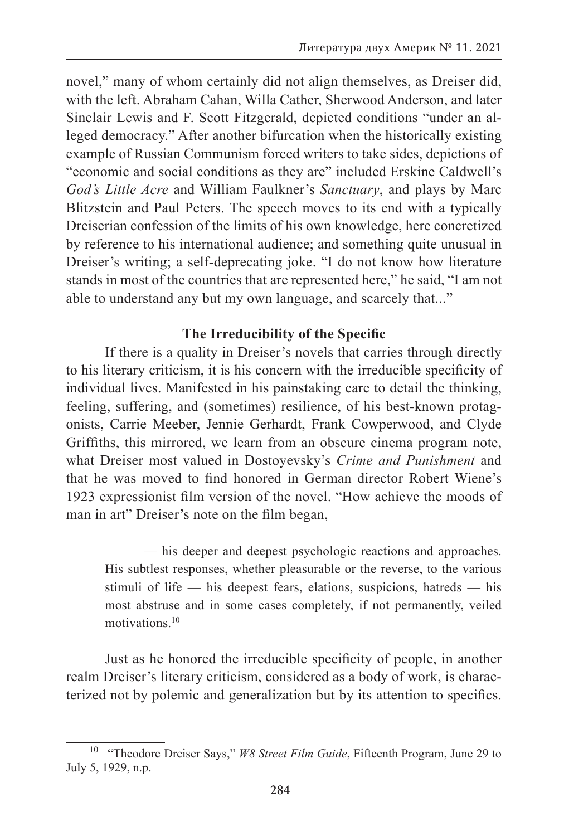novel," many of whom certainly did not align themselves, as Dreiser did, with the left. Abraham Cahan, Willa Cather, Sherwood Anderson, and later Sinclair Lewis and F. Scott Fitzgerald, depicted conditions "under an alleged democracy." After another bifurcation when the historically existing example of Russian Communism forced writers to take sides, depictions of "economic and social conditions as they are" included Erskine Caldwell's *God's Little Acre* and William Faulkner's *Sanctuary*, and plays by Marc Blitzstein and Paul Peters. The speech moves to its end with a typically Dreiserian confession of the limits of his own knowledge, here concretized by reference to his international audience; and something quite unusual in Dreiser's writing; a self-deprecating joke. "I do not know how literature stands in most of the countries that are represented here," he said, "I am not able to understand any but my own language, and scarcely that..."

#### **The Irreducibility of the Specific**

If there is a quality in Dreiser's novels that carries through directly to his literary criticism, it is his concern with the irreducible specificity of individual lives. Manifested in his painstaking care to detail the thinking, feeling, suffering, and (sometimes) resilience, of his best-known protagonists, Carrie Meeber, Jennie Gerhardt, Frank Cowperwood, and Clyde Griffiths, this mirrored, we learn from an obscure cinema program note, what Dreiser most valued in Dostoyevsky's *Crime and Punishment* and that he was moved to find honored in German director Robert Wiene's 1923 expressionist film version of the novel. "How achieve the moods of man in art" Dreiser's note on the film began,

— his deeper and deepest psychologic reactions and approaches. His subtlest responses, whether pleasurable or the reverse, to the various stimuli of life — his deepest fears, elations, suspicions, hatreds — his most abstruse and in some cases completely, if not permanently, veiled motivations<sup>10</sup>

Just as he honored the irreducible specificity of people, in another realm Dreiser's literary criticism, considered as a body of work, is characterized not by polemic and generalization but by its attention to specifics.

<sup>10</sup> "Theodore Dreiser Says," *W8 Street Film Guide*, Fifteenth Program, June 29 to July 5, 1929, n.p.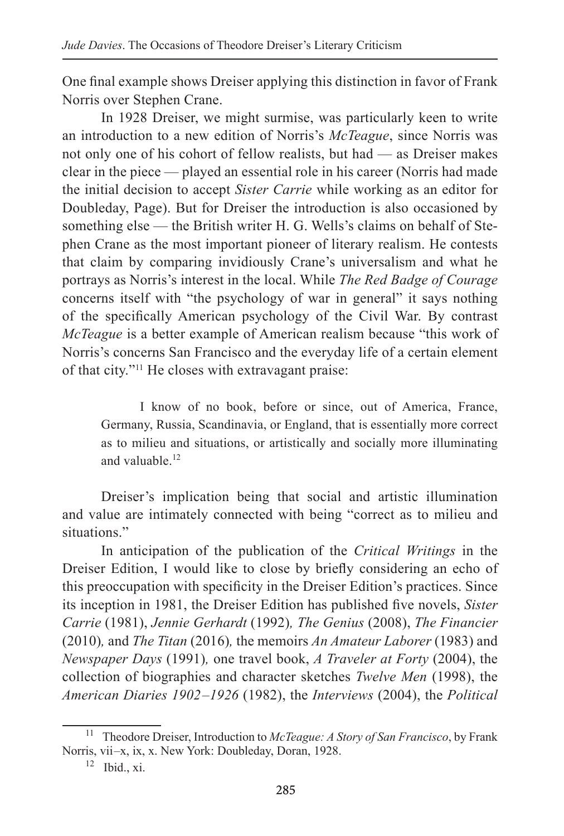One final example shows Dreiser applying this distinction in favor of Frank Norris over Stephen Crane.

In 1928 Dreiser, we might surmise, was particularly keen to write an introduction to a new edition of Norris's *McTeague*, since Norris was not only one of his cohort of fellow realists, but had — as Dreiser makes clear in the piece — played an essential role in his career (Norris had made the initial decision to accept *Sister Carrie* while working as an editor for Doubleday, Page). But for Dreiser the introduction is also occasioned by something else — the British writer H. G. Wells's claims on behalf of Stephen Crane as the most important pioneer of literary realism. He contests that claim by comparing invidiously Crane's universalism and what he portrays as Norris's interest in the local. While *The Red Badge of Courage*  concerns itself with "the psychology of war in general" it says nothing of the specifically American psychology of the Civil War. By contrast *McTeague* is a better example of American realism because "this work of Norris's concerns San Francisco and the everyday life of a certain element of that city."<sup>11</sup> He closes with extravagant praise:

I know of no book, before or since, out of America, France, Germany, Russia, Scandinavia, or England, that is essentially more correct as to milieu and situations, or artistically and socially more illuminating and valuable.<sup>12</sup>

Dreiser's implication being that social and artistic illumination and value are intimately connected with being "correct as to milieu and situations."

In anticipation of the publication of the *Critical Writings* in the Dreiser Edition, I would like to close by briefly considering an echo of this preoccupation with specificity in the Dreiser Edition's practices. Since its inception in 1981, the Dreiser Edition has published five novels, *Sister Carrie* (1981), *Jennie Gerhardt* (1992)*, The Genius* (2008), *The Financier*  (2010)*,* and *The Titan* (2016)*,* the memoirs *An Amateur Laborer* (1983) and *Newspaper Days* (1991)*,* one travel book, *A Traveler at Forty* (2004), the collection of biographies and character sketches *Twelve Men* (1998), the *American Diaries 1902 –1926* (1982), the *Interviews* (2004), the *Political* 

<sup>11</sup> Theodore Dreiser, Introduction to *McTeague: A Story of San Francisco*, by Frank Norris, vii-x, ix, x. New York: Doubleday, Doran, 1928.

 $12$  Ibid., xi.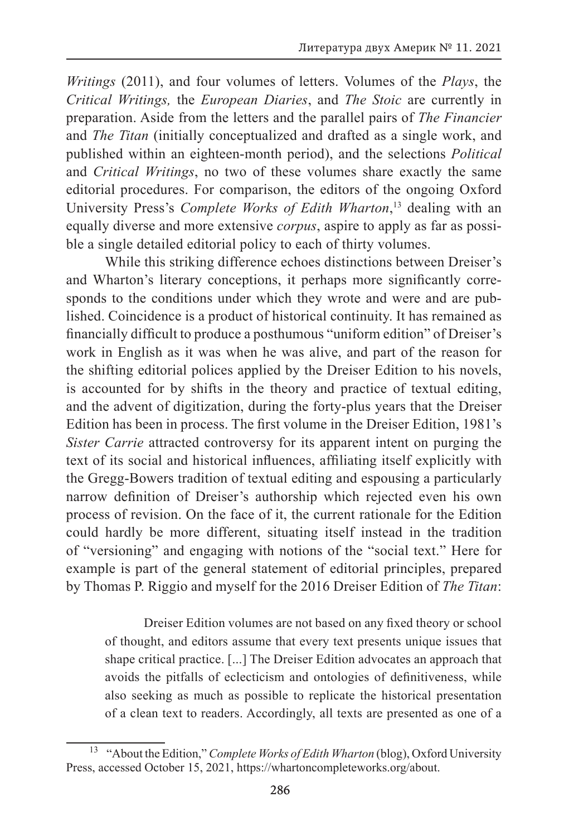*Writings* (2011), and four volumes of letters. Volumes of the *Plays*, the *Critical Writings,* the *European Diaries*, and *The Stoic* are currently in preparation. Aside from the letters and the parallel pairs of *The Financier*  and *The Titan* (initially conceptualized and drafted as a single work, and published within an eighteen-month period), and the selections *Political*  and *Critical Writings*, no two of these volumes share exactly the same editorial procedures. For comparison, the editors of the ongoing Oxford University Press's *Complete Works of Edith Wharton*, 13 dealing with an equally diverse and more extensive *corpus*, aspire to apply as far as possible a single detailed editorial policy to each of thirty volumes.

While this striking difference echoes distinctions between Dreiser's and Wharton's literary conceptions, it perhaps more significantly corresponds to the conditions under which they wrote and were and are published. Coincidence is a product of historical continuity. It has remained as financially difficult to produce a posthumous "uniform edition" of Dreiser's work in English as it was when he was alive, and part of the reason for the shifting editorial polices applied by the Dreiser Edition to his novels, is accounted for by shifts in the theory and practice of textual editing, and the advent of digitization, during the forty-plus years that the Dreiser Edition has been in process. The first volume in the Dreiser Edition, 1981's *Sister Carrie* attracted controversy for its apparent intent on purging the text of its social and historical influences, affiliating itself explicitly with the Gregg-Bowers tradition of textual editing and espousing a particularly narrow definition of Dreiser's authorship which rejected even his own process of revision. On the face of it, the current rationale for the Edition could hardly be more different, situating itself instead in the tradition of "versioning" and engaging with notions of the "social text." Here for example is part of the general statement of editorial principles, prepared by Thomas P. Riggio and myself for the 2016 Dreiser Edition of *The Titan*:

Dreiser Edition volumes are not based on any fixed theory or school of thought, and editors assume that every text presents unique issues that shape critical practice. [...] The Dreiser Edition advocates an approach that avoids the pitfalls of eclecticism and ontologies of definitiveness, while also seeking as much as possible to replicate the historical presentation of a clean text to readers. Accordingly, all texts are presented as one of a

<sup>&</sup>lt;sup>13</sup> "About the Edition," *Complete Works of Edith Wharton* (blog), Oxford University Press, accessed October 15, 2021, https://whartoncompleteworks.org/about.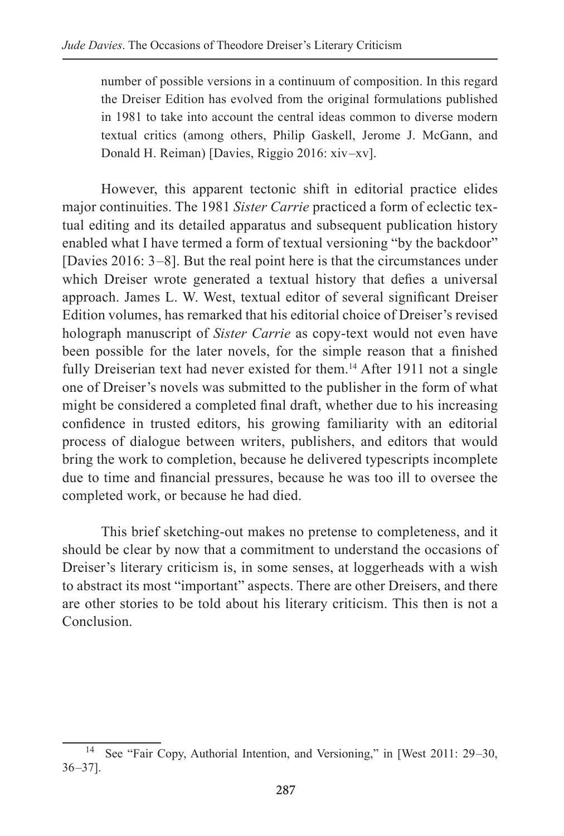number of possible versions in a continuum of composition. In this regard the Dreiser Edition has evolved from the original formulations published in 1981 to take into account the central ideas common to diverse modern textual critics (among others, Philip Gaskell, Jerome J. McGann, and Donald H. Reiman) [Davies, Riggio 2016: xiv-xv].

However, this apparent tectonic shift in editorial practice elides major continuities. The 1981 *Sister Carrie* practiced a form of eclectic textual editing and its detailed apparatus and subsequent publication history enabled what I have termed a form of textual versioning "by the backdoor" [Davies 2016: 3–8]. But the real point here is that the circumstances under which Dreiser wrote generated a textual history that defies a universal approach. James L. W. West, textual editor of several significant Dreiser Edition volumes, has remarked that his editorial choice of Dreiser's revised holograph manuscript of *Sister Carrie* as copy-text would not even have been possible for the later novels, for the simple reason that a finished fully Dreiserian text had never existed for them.<sup>14</sup> After 1911 not a single one of Dreiser's novels was submitted to the publisher in the form of what might be considered a completed final draft, whether due to his increasing confidence in trusted editors, his growing familiarity with an editorial process of dialogue between writers, publishers, and editors that would bring the work to completion, because he delivered typescripts incomplete due to time and financial pressures, because he was too ill to oversee the completed work, or because he had died.

This brief sketching-out makes no pretense to completeness, and it should be clear by now that a commitment to understand the occasions of Dreiser's literary criticism is, in some senses, at loggerheads with a wish to abstract its most "important" aspects. There are other Dreisers, and there are other stories to be told about his literary criticism. This then is not a **Conclusion** 

<sup>&</sup>lt;sup>14</sup> See "Fair Copy, Authorial Intention, and Versioning," in [West 2011: 29–30,  $36 - 37$ ].